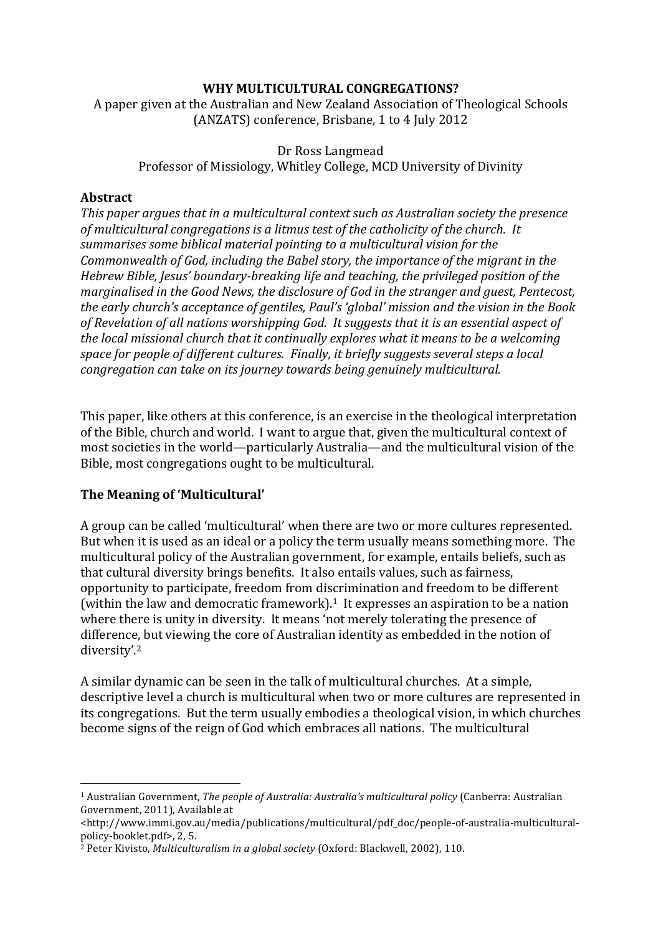# WHY MULTICULTURAL CONGREGATIONS?

A paper given at the Australian and New Zealand Association of Theological Schools (ANZATS) conference, Brisbane, 1 to 4 July 2012

# Dr Ross Langmead

Professor of Missiology, Whitley College, MCD University of Divinity

# **Abstract**

This paper argues that in a multicultural context such as Australian society the presence of multicultural congregations is a litmus test of the catholicity of the church. It summarises some biblical material pointing to a multicultural vision for the *Commonwealth of God, including the Babel story, the importance of the migrant in the Hebrew Bible, Jesus' boundary-breaking life and teaching, the privileged position of the marginalised in the Good News, the disclosure of God in the stranger and guest, Pentecost, the early church's acceptance of gentiles, Paul's 'global' mission and the vision in the Book* of Revelation of all nations worshipping God. It suggests that it is an essential aspect of *the local missional church that it continually explores what it means to be a welcoming space for people of different cultures. Finally, it briefly suggests several steps a local congregation can take on its journey towards being genuinely multicultural.* 

This paper, like others at this conference, is an exercise in the theological interpretation of the Bible, church and world. I want to argue that, given the multicultural context of most societies in the world—particularly Australia—and the multicultural vision of the Bible, most congregations ought to be multicultural.

# **The Meaning of 'Multicultural'**

 

A group can be called 'multicultural' when there are two or more cultures represented. But when it is used as an ideal or a policy the term usually means something more. The multicultural policy of the Australian government, for example, entails beliefs, such as that cultural diversity brings benefits. It also entails values, such as fairness, opportunity to participate, freedom from discrimination and freedom to be different (within the law and democratic framework).<sup>1</sup> It expresses an aspiration to be a nation where there is unity in diversity. It means 'not merely tolerating the presence of difference, but viewing the core of Australian identity as embedded in the notion of diversity'.2

A similar dynamic can be seen in the talk of multicultural churches. At a simple, descriptive level a church is multicultural when two or more cultures are represented in its congregations. But the term usually embodies a theological vision, in which churches become signs of the reign of God which embraces all nations. The multicultural

<sup>&</sup>lt;sup>1</sup> Australian Government, *The people of Australia: Australia's multicultural policy* (Canberra: Australian Government, 2011), Available at

<sup>&</sup>lt;http://www.immi.gov.au/media/publications/multicultural/pdf\_doc/people-of-australia-multiculturalpolicy-booklet.pdf>, 2, 5.

<sup>&</sup>lt;sup>2</sup> Peter Kivisto, *Multiculturalism in a global society* (Oxford: Blackwell, 2002), 110.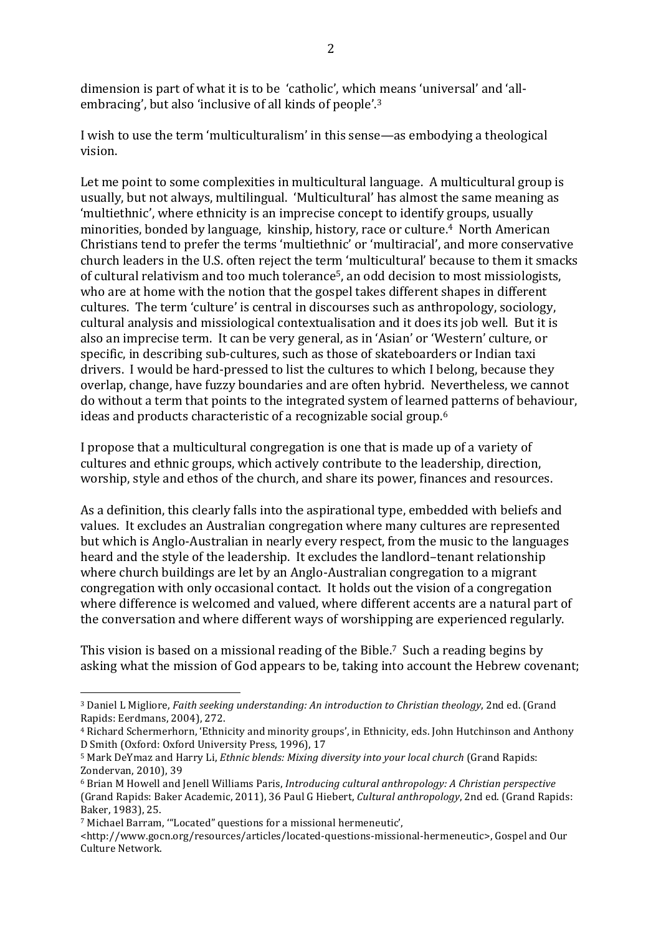dimension is part of what it is to be 'catholic', which means 'universal' and 'allembracing', but also 'inclusive of all kinds of people'.<sup>3</sup>

I wish to use the term 'multiculturalism' in this sense—as embodying a theological vision. 

Let me point to some complexities in multicultural language. A multicultural group is usually, but not always, multilingual. 'Multicultural' has almost the same meaning as 'multiethnic', where ethnicity is an imprecise concept to identify groups, usually minorities, bonded by language, kinship, history, race or culture.<sup>4</sup> North American Christians tend to prefer the terms 'multiethnic' or 'multiracial', and more conservative church leaders in the U.S. often reject the term 'multicultural' because to them it smacks of cultural relativism and too much tolerance<sup>5</sup>, an odd decision to most missiologists, who are at home with the notion that the gospel takes different shapes in different cultures. The term 'culture' is central in discourses such as anthropology, sociology, cultural analysis and missiological contextualisation and it does its job well. But it is also an imprecise term. It can be very general, as in 'Asian' or 'Western' culture, or specific, in describing sub-cultures, such as those of skateboarders or Indian taxi drivers. I would be hard-pressed to list the cultures to which I belong, because they overlap, change, have fuzzy boundaries and are often hybrid. Nevertheless, we cannot do without a term that points to the integrated system of learned patterns of behaviour, ideas and products characteristic of a recognizable social group.<sup>6</sup>

I propose that a multicultural congregation is one that is made up of a variety of cultures and ethnic groups, which actively contribute to the leadership, direction, worship, style and ethos of the church, and share its power, finances and resources.

As a definition, this clearly falls into the aspirational type, embedded with beliefs and values. It excludes an Australian congregation where many cultures are represented but which is Anglo-Australian in nearly every respect, from the music to the languages heard and the style of the leadership. It excludes the landlord-tenant relationship where church buildings are let by an Anglo-Australian congregation to a migrant congregation with only occasional contact. It holds out the vision of a congregation where difference is welcomed and valued, where different accents are a natural part of the conversation and where different ways of worshipping are experienced regularly.

This vision is based on a missional reading of the Bible.<sup>7</sup> Such a reading begins by asking what the mission of God appears to be, taking into account the Hebrew covenant;

 

<sup>&</sup>lt;sup>3</sup> Daniel L Migliore, *Faith seeking understanding: An introduction to Christian theology*, 2nd ed. (Grand Rapids: Eerdmans, 2004), 272.

<sup>&</sup>lt;sup>4</sup> Richard Schermerhorn, 'Ethnicity and minority groups', in Ethnicity, eds. John Hutchinson and Anthony D Smith (Oxford: Oxford University Press, 1996), 17

<sup>&</sup>lt;sup>5</sup> Mark DeYmaz and Harry Li, *Ethnic blends: Mixing diversity into your local church* (Grand Rapids: Zondervan, 2010), 39

<sup>6</sup> Brian M Howell and Jenell Williams Paris, *Introducing cultural anthropology: A Christian perspective* (Grand Rapids: Baker Academic, 2011), 36 Paul G Hiebert, *Cultural anthropology*, 2nd ed. (Grand Rapids: Baker, 1983), 25.

<sup>&</sup>lt;sup>7</sup> Michael Barram, "'Located" questions for a missional hermeneutic',

<sup>&</sup>lt;http://www.gocn.org/resources/articles/located-questions-missional-hermeneutic>, Gospel and Our Culture Network.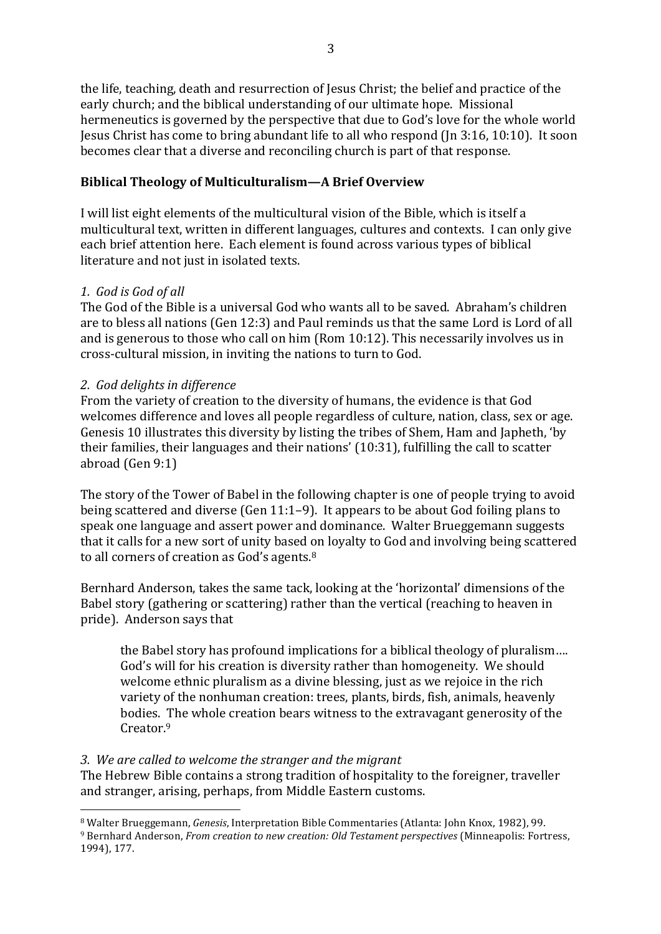the life, teaching, death and resurrection of Jesus Christ; the belief and practice of the early church; and the biblical understanding of our ultimate hope. Missional hermeneutics is governed by the perspective that due to God's love for the whole world Jesus Christ has come to bring abundant life to all who respond (Jn  $3:16$ ,  $10:10$ ). It soon becomes clear that a diverse and reconciling church is part of that response.

### **Biblical Theology of Multiculturalism—A Brief Overview**

I will list eight elements of the multicultural vision of the Bible, which is itself a multicultural text, written in different languages, cultures and contexts. I can only give each brief attention here. Each element is found across various types of biblical literature and not just in isolated texts.

### *1. God is God of all*

The God of the Bible is a universal God who wants all to be saved. Abraham's children are to bless all nations (Gen 12:3) and Paul reminds us that the same Lord is Lord of all and is generous to those who call on him (Rom  $10:12$ ). This necessarily involves us in cross-cultural mission, in inviting the nations to turn to God.

### *2. God delights in difference*

 

From the variety of creation to the diversity of humans, the evidence is that God welcomes difference and loves all people regardless of culture, nation, class, sex or age. Genesis 10 illustrates this diversity by listing the tribes of Shem. Ham and Japheth, 'by their families, their languages and their nations'  $(10:31)$ , fulfilling the call to scatter abroad  $(Gen 9:1)$ 

The story of the Tower of Babel in the following chapter is one of people trying to avoid being scattered and diverse (Gen  $11:1-9$ ). It appears to be about God foiling plans to speak one language and assert power and dominance. Walter Brueggemann suggests that it calls for a new sort of unity based on loyalty to God and involving being scattered to all corners of creation as God's agents. $8$ 

Bernhard Anderson, takes the same tack, looking at the 'horizontal' dimensions of the Babel story (gathering or scattering) rather than the vertical (reaching to heaven in pride). Anderson says that

the Babel story has profound implications for a biblical theology of pluralism.... God's will for his creation is diversity rather than homogeneity. We should welcome ethnic pluralism as a divine blessing, just as we rejoice in the rich variety of the nonhuman creation: trees, plants, birds, fish, animals, heavenly bodies. The whole creation bears witness to the extravagant generosity of the Creator.9

#### *3. We are called to welcome the stranger and the migrant*

The Hebrew Bible contains a strong tradition of hospitality to the foreigner, traveller and stranger, arising, perhaps, from Middle Eastern customs.

<sup>&</sup>lt;sup>8</sup> Walter Brueggemann, *Genesis*, Interpretation Bible Commentaries (Atlanta: John Knox, 1982), 99. <sup>9</sup> Bernhard Anderson, *From creation to new creation: Old Testament perspectives* (Minneapolis: Fortress, 1994), 177.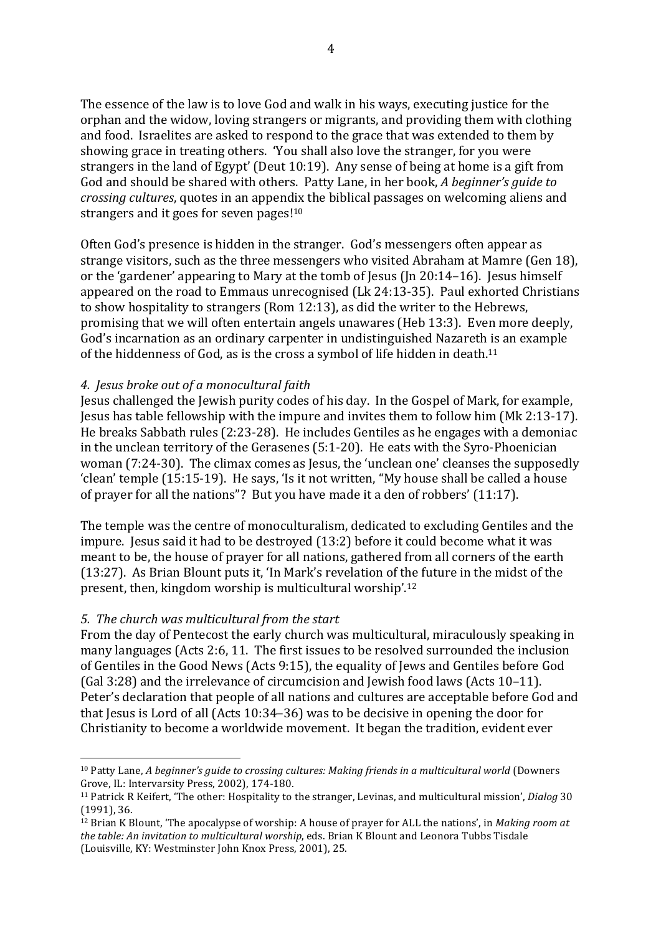The essence of the law is to love God and walk in his ways, executing justice for the orphan and the widow, loving strangers or migrants, and providing them with clothing and food. Israelites are asked to respond to the grace that was extended to them by showing grace in treating others. 'You shall also love the stranger, for you were strangers in the land of Egypt' (Deut  $10:19$ ). Any sense of being at home is a gift from God and should be shared with others. Patty Lane, in her book, *A beginner's guide to crossing cultures*, quotes in an appendix the biblical passages on welcoming aliens and strangers and it goes for seven pages! $10<sub>10</sub>$ 

Often God's presence is hidden in the stranger. God's messengers often appear as strange visitors, such as the three messengers who visited Abraham at Mamre (Gen 18), or the 'gardener' appearing to Mary at the tomb of Jesus  $($ In 20:14–16). Jesus himself appeared on the road to Emmaus unrecognised (Lk 24:13-35). Paul exhorted Christians to show hospitality to strangers (Rom 12:13), as did the writer to the Hebrews, promising that we will often entertain angels unawares (Heb 13:3). Even more deeply, God's incarnation as an ordinary carpenter in undistinguished Nazareth is an example of the hiddenness of God, as is the cross a symbol of life hidden in death.<sup>11</sup>

### *4. Jesus broke out of a monocultural faith*

Jesus challenged the Jewish purity codes of his day. In the Gospel of Mark, for example, Jesus has table fellowship with the impure and invites them to follow him (Mk 2:13-17). He breaks Sabbath rules  $(2:23-28)$ . He includes Gentiles as he engages with a demoniac in the unclean territory of the Gerasenes  $(5:1-20)$ . He eats with the Syro-Phoenician woman  $(7:24-30)$ . The climax comes as Jesus, the 'unclean one' cleanses the supposedly 'clean' temple (15:15-19). He says, 'Is it not written, "My house shall be called a house of prayer for all the nations"? But you have made it a den of robbers'  $(11:17)$ .

The temple was the centre of monoculturalism, dedicated to excluding Gentiles and the impure. Jesus said it had to be destroyed (13:2) before it could become what it was meant to be, the house of prayer for all nations, gathered from all corners of the earth (13:27). As Brian Blount puts it, 'In Mark's revelation of the future in the midst of the present, then, kingdom worship is multicultural worship'.<sup>12</sup>

#### *5. The church was multicultural from the start*

 

From the day of Pentecost the early church was multicultural, miraculously speaking in many languages (Acts 2:6, 11. The first issues to be resolved surrounded the inclusion of Gentiles in the Good News (Acts 9:15), the equality of Jews and Gentiles before God (Gal  $3:28$ ) and the irrelevance of circumcision and Jewish food laws (Acts  $10-11$ ). Peter's declaration that people of all nations and cultures are acceptable before God and that Jesus is Lord of all (Acts  $10:34-36$ ) was to be decisive in opening the door for Christianity to become a worldwide movement. It began the tradition, evident ever

<sup>&</sup>lt;sup>10</sup> Patty Lane, *A* beginner's guide to crossing cultures: Making friends in a multicultural world (Downers Grove, IL: Intervarsity Press, 2002), 174-180.

<sup>&</sup>lt;sup>11</sup> Patrick R Keifert, 'The other: Hospitality to the stranger, Levinas, and multicultural mission', *Dialog* 30  $(1991)$ , 36.

<sup>&</sup>lt;sup>12</sup> Brian K Blount, 'The apocalypse of worship: A house of prayer for ALL the nations', in *Making room at the table:* An invitation to multicultural worship, eds. Brian K Blount and Leonora Tubbs Tisdale (Louisville, KY: Westminster John Knox Press, 2001), 25.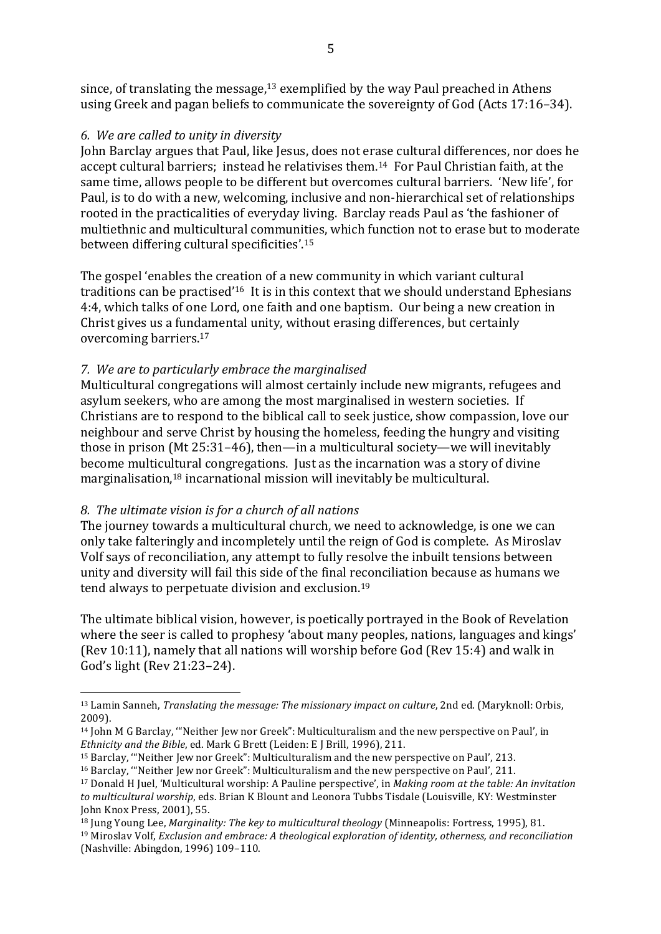since, of translating the message, $13$  exemplified by the way Paul preached in Athens using Greek and pagan beliefs to communicate the sovereignty of God (Acts 17:16–34).

# *6. We are called to unity in diversity*

John Barclay argues that Paul, like Jesus, does not erase cultural differences, nor does he accept cultural barriers; instead he relativises them.<sup>14</sup> For Paul Christian faith, at the same time, allows people to be different but overcomes cultural barriers. 'New life', for Paul, is to do with a new, welcoming, inclusive and non-hierarchical set of relationships rooted in the practicalities of everyday living. Barclay reads Paul as 'the fashioner of multiethnic and multicultural communities, which function not to erase but to moderate between differing cultural specificities'.<sup>15</sup>

The gospel 'enables the creation of a new community in which variant cultural traditions can be practised<sup>'16</sup> It is in this context that we should understand Ephesians 4:4, which talks of one Lord, one faith and one baptism. Our being a new creation in Christ gives us a fundamental unity, without erasing differences, but certainly overcoming barriers.<sup>17</sup>

# *7. We are to particularly embrace the marginalised*

Multicultural congregations will almost certainly include new migrants, refugees and asylum seekers, who are among the most marginalised in western societies. If Christians are to respond to the biblical call to seek justice, show compassion, love our neighbour and serve Christ by housing the homeless, feeding the hungry and visiting those in prison (Mt 25:31–46), then—in a multicultural society—we will inevitably become multicultural congregations. Just as the incarnation was a story of divine marginalisation, $18$  incarnational mission will inevitably be multicultural.

# *8. The ultimate vision is for a church of all nations*

 

The journey towards a multicultural church, we need to acknowledge, is one we can only take falteringly and incompletely until the reign of God is complete. As Miroslay Volf says of reconciliation, any attempt to fully resolve the inbuilt tensions between unity and diversity will fail this side of the final reconciliation because as humans we tend always to perpetuate division and exclusion.<sup>19</sup>

The ultimate biblical vision, however, is poetically portrayed in the Book of Revelation where the seer is called to prophesy 'about many peoples, nations, languages and kings' (Rev 10:11), namely that all nations will worship before God (Rev 15:4) and walk in God's light (Rev 21:23–24).

<sup>&</sup>lt;sup>13</sup> Lamin Sanneh, *Translating the message: The missionary impact on culture*, 2nd ed. (Maryknoll: Orbis, 2009).

 $14$  John M G Barclay, "Neither Jew nor Greek": Multiculturalism and the new perspective on Paul', in *Ethnicity* and the *Bible*, ed. Mark G Brett (Leiden: E J Brill, 1996), 211.

<sup>&</sup>lt;sup>15</sup> Barclay, "Neither Jew nor Greek": Multiculturalism and the new perspective on Paul', 213.

<sup>&</sup>lt;sup>16</sup> Barclay, "Neither Jew nor Greek": Multiculturalism and the new perspective on Paul', 211.

<sup>&</sup>lt;sup>17</sup> Donald H Juel, 'Multicultural worship: A Pauline perspective', in *Making room at the table: An invitation* to multicultural worship, eds. Brian K Blount and Leonora Tubbs Tisdale (Louisville, KY: Westminster John Knox Press, 2001), 55.

<sup>&</sup>lt;sup>18</sup> Jung Young Lee, *Marginality: The key to multicultural theology* (Minneapolis: Fortress, 1995), 81.

<sup>&</sup>lt;sup>19</sup> Miroslav Volf, *Exclusion and embrace: A theological exploration of identity, otherness, and reconciliation* (Nashville: Abingdon, 1996) 109-110.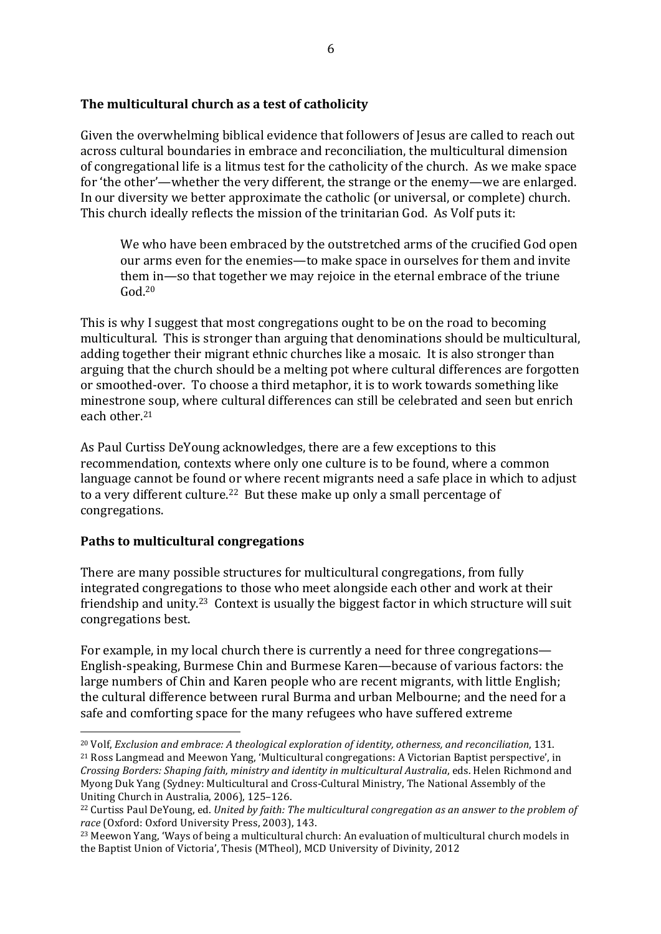# The multicultural church as a test of catholicity

Given the overwhelming biblical evidence that followers of Jesus are called to reach out across cultural boundaries in embrace and reconciliation, the multicultural dimension of congregational life is a litmus test for the catholicity of the church. As we make space for 'the other'—whether the very different, the strange or the enemy—we are enlarged. In our diversity we better approximate the catholic (or universal, or complete) church. This church ideally reflects the mission of the trinitarian God. As Volf puts it:

We who have been embraced by the outstretched arms of the crucified God open our arms even for the enemies—to make space in ourselves for them and invite them in—so that together we may rejoice in the eternal embrace of the triune  $God<sup>20</sup>$ 

This is why I suggest that most congregations ought to be on the road to becoming multicultural. This is stronger than arguing that denominations should be multicultural, adding together their migrant ethnic churches like a mosaic. It is also stronger than arguing that the church should be a melting pot where cultural differences are forgotten or smoothed-over. To choose a third metaphor, it is to work towards something like minestrone soup, where cultural differences can still be celebrated and seen but enrich each other.<sup>21</sup>

As Paul Curtiss DeYoung acknowledges, there are a few exceptions to this recommendation, contexts where only one culture is to be found, where a common language cannot be found or where recent migrants need a safe place in which to adjust to a very different culture.<sup>22</sup> But these make up only a small percentage of congregations.

# **Paths to multicultural congregations**

There are many possible structures for multicultural congregations, from fully integrated congregations to those who meet alongside each other and work at their friendship and unity.<sup>23</sup> Context is usually the biggest factor in which structure will suit congregations best.

For example, in my local church there is currently a need for three congregations— English-speaking, Burmese Chin and Burmese Karen—because of various factors: the large numbers of Chin and Karen people who are recent migrants, with little English; the cultural difference between rural Burma and urban Melbourne; and the need for a safe and comforting space for the many refugees who have suffered extreme

 <sup>20</sup> Volf, *Exclusion and embrace:* A theological exploration of identity, otherness, and reconciliation, 131.

<sup>&</sup>lt;sup>21</sup> Ross Langmead and Meewon Yang, 'Multicultural congregations: A Victorian Baptist perspective', in *Crossing Borders: Shaping faith, ministry and identity in multicultural Australia, eds. Helen Richmond and* Myong Duk Yang (Sydney: Multicultural and Cross-Cultural Ministry, The National Assembly of the Uniting Church in Australia, 2006), 125-126.

<sup>&</sup>lt;sup>22</sup> Curtiss Paul DeYoung, ed. *United by faith: The multicultural congregation as an answer to the problem of* race (Oxford: Oxford University Press, 2003), 143.

<sup>&</sup>lt;sup>23</sup> Meewon Yang, 'Ways of being a multicultural church: An evaluation of multicultural church models in the Baptist Union of Victoria', Thesis (MTheol), MCD University of Divinity, 2012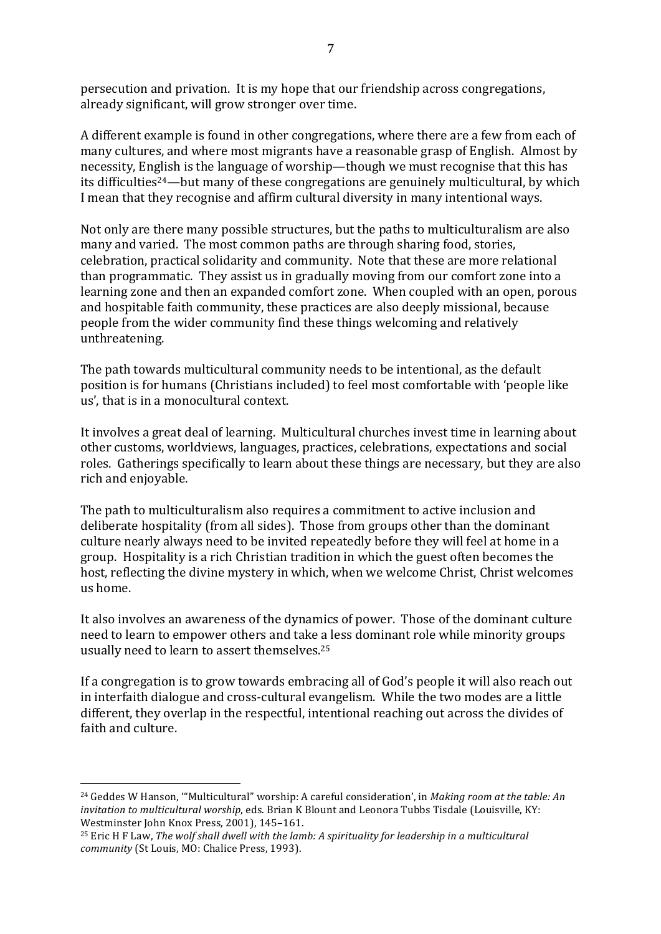persecution and privation. It is my hope that our friendship across congregations, already significant, will grow stronger over time.

A different example is found in other congregations, where there are a few from each of many cultures, and where most migrants have a reasonable grasp of English. Almost by necessity, English is the language of worship—though we must recognise that this has its difficulties<sup>24</sup>—but many of these congregations are genuinely multicultural, by which I mean that they recognise and affirm cultural diversity in many intentional ways.

Not only are there many possible structures, but the paths to multiculturalism are also many and varied. The most common paths are through sharing food, stories, celebration, practical solidarity and community. Note that these are more relational than programmatic. They assist us in gradually moving from our comfort zone into a learning zone and then an expanded comfort zone. When coupled with an open, porous and hospitable faith community, these practices are also deeply missional, because people from the wider community find these things welcoming and relatively unthreatening. 

The path towards multicultural community needs to be intentional, as the default position is for humans (Christians included) to feel most comfortable with 'people like us', that is in a monocultural context.

It involves a great deal of learning. Multicultural churches invest time in learning about other customs, worldviews, languages, practices, celebrations, expectations and social roles. Gatherings specifically to learn about these things are necessary, but they are also rich and enjoyable.

The path to multiculturalism also requires a commitment to active inclusion and deliberate hospitality (from all sides). Those from groups other than the dominant culture nearly always need to be invited repeatedly before they will feel at home in a group. Hospitality is a rich Christian tradition in which the guest often becomes the host, reflecting the divine mystery in which, when we welcome Christ, Christ welcomes us home.

It also involves an awareness of the dynamics of power. Those of the dominant culture need to learn to empower others and take a less dominant role while minority groups usually need to learn to assert themselves.<sup>25</sup>

If a congregation is to grow towards embracing all of God's people it will also reach out in interfaith dialogue and cross-cultural evangelism. While the two modes are a little different, they overlap in the respectful, intentional reaching out across the divides of faith and culture.

 

<sup>&</sup>lt;sup>24</sup> Geddes W Hanson, ""Multicultural" worship: A careful consideration', in *Making room at the table: An invitation to multicultural worship*, eds. Brian K Blount and Leonora Tubbs Tisdale (Louisville, KY: Westminster John Knox Press, 2001), 145-161.

<sup>&</sup>lt;sup>25</sup> Eric H F Law, *The wolf shall dwell with the lamb: A spirituality for leadership in a multicultural community* (St Louis, MO: Chalice Press, 1993).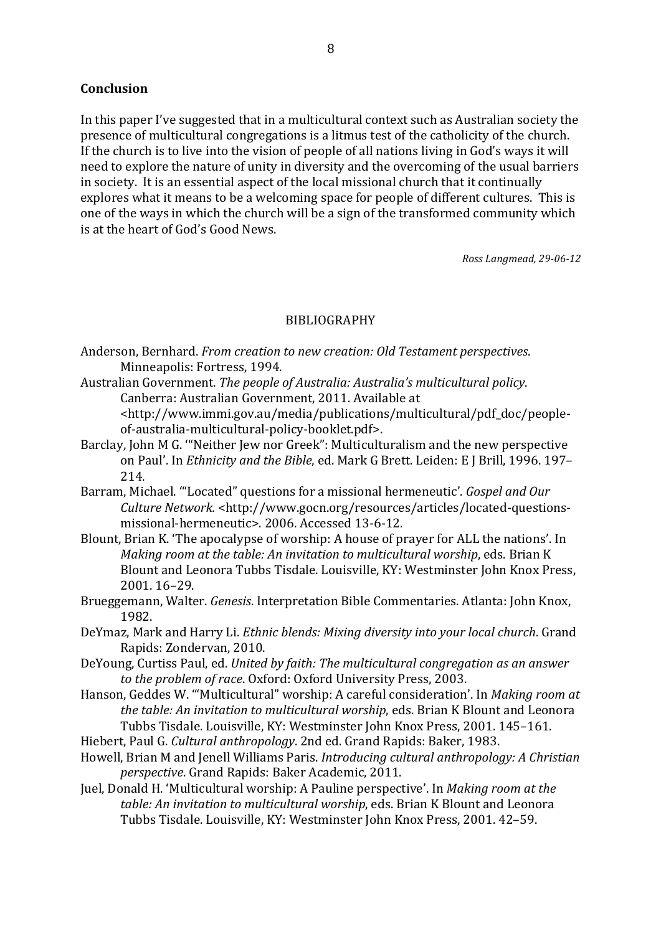### **Conclusion**

In this paper I've suggested that in a multicultural context such as Australian society the presence of multicultural congregations is a litmus test of the catholicity of the church. If the church is to live into the vision of people of all nations living in God's ways it will need to explore the nature of unity in diversity and the overcoming of the usual barriers in society. It is an essential aspect of the local missional church that it continually explores what it means to be a welcoming space for people of different cultures. This is one of the ways in which the church will be a sign of the transformed community which is at the heart of God's Good News.

*Ross Langmead, 29-06-12*

#### BIBLIOGRAPHY

- Anderson, Bernhard. *From creation to new creation: Old Testament perspectives.* Minneapolis: Fortress, 1994.
- Australian Government. The people of Australia: Australia's multicultural policy. Canberra: Australian Government, 2011. Available at

<http://www.immi.gov.au/media/publications/multicultural/pdf\_doc/peopleof-australia-multicultural-policy-booklet.pdf>.

- Barclay, John M G. ""Neither Jew nor Greek": Multiculturalism and the new perspective on Paul'. In *Ethnicity and the Bible*, ed. Mark G Brett. Leiden: E J Brill, 1996. 197– 214.
- Barram, Michael. "Located" questions for a missional hermeneutic'. *Gospel and Our Culture Network.* <http://www.gocn.org/resources/articles/located-questionsmissional-hermeneutic>. 2006. Accessed 13-6-12.
- Blount, Brian K. 'The apocalypse of worship: A house of prayer for ALL the nations'. In *Making room at the table: An invitation to multicultural worship, eds. Brian K* Blount and Leonora Tubbs Tisdale. Louisville, KY: Westminster John Knox Press, 2001. 16–29.
- Brueggemann, Walter. *Genesis*. Interpretation Bible Commentaries. Atlanta: John Knox, 1982.
- DeYmaz, Mark and Harry Li. *Ethnic blends: Mixing diversity into your local church*. Grand Rapids: Zondervan, 2010.
- DeYoung, Curtiss Paul, ed. *United by faith: The multicultural congregation as an answer* to the problem of race. Oxford: Oxford University Press, 2003.
- Hanson, Geddes W. ""Multicultural" worship: A careful consideration'. In *Making room at the table: An invitation to multicultural worship*, eds. Brian K Blount and Leonora Tubbs Tisdale. Louisville, KY: Westminster John Knox Press, 2001, 145-161.
- Hiebert, Paul G. *Cultural anthropology*. 2nd ed. Grand Rapids: Baker, 1983.
- Howell, Brian M and Jenell Williams Paris. *Introducing cultural anthropology: A Christian perspective*. Grand Rapids: Baker Academic, 2011.
- Juel, Donald H. 'Multicultural worship: A Pauline perspective'. In *Making room at the table: An invitation to multicultural worship*, eds. Brian K Blount and Leonora Tubbs Tisdale. Louisville, KY: Westminster John Knox Press, 2001. 42-59.